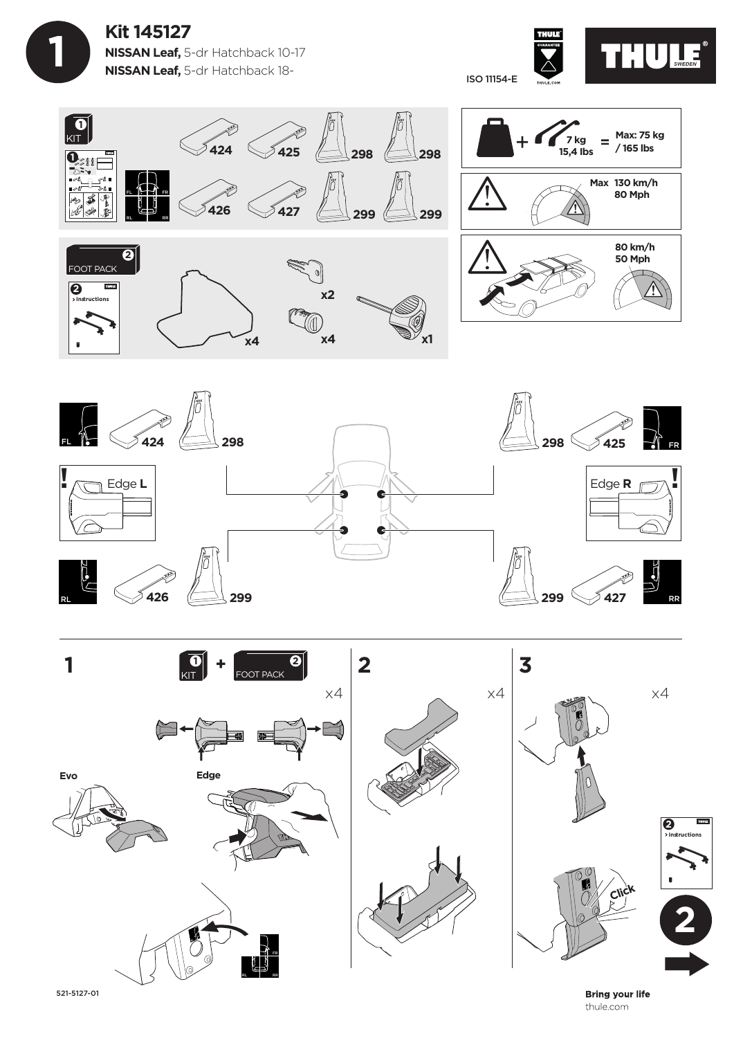









521-5127-01

**Bring your life** thule.com